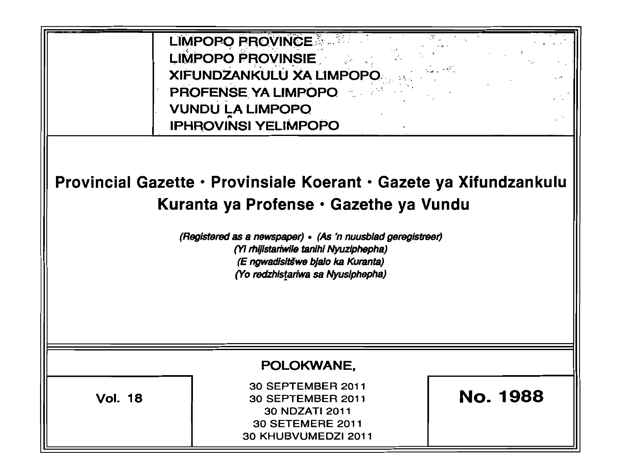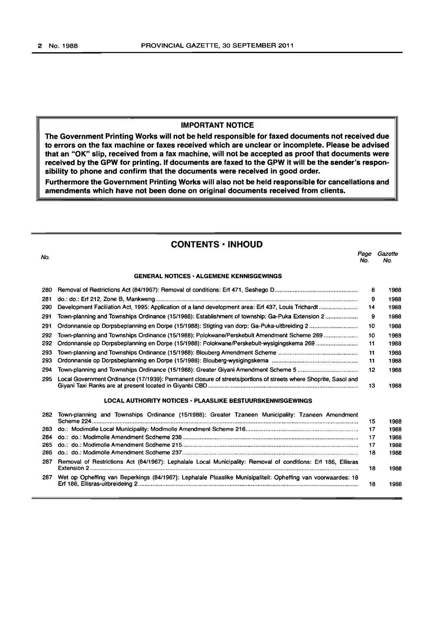#### IMPORTANT NOTICE

The Government Printing Works will not be held responsible for faxed documents not received due to errors on the fax machine or faxes received which are unclear or incomplete. Please be advised that an "OK" Slip, received from a fax machine, will not be accepted as proof that documents were received by the GPW for printing. If documents are faxed to the GPW it will be the sender's responsibility to phone and confirm that the documents were received in good order.

Furthermore the Government Printing Works will also not be held responsible for cancellations and amendments which have not been done on original documents received from clients.

#### CONTENTS· INHOUD

| No. |                                                                                                                  | Page<br>No. | Gazette<br>No. |
|-----|------------------------------------------------------------------------------------------------------------------|-------------|----------------|
|     | <b>GENERAL NOTICES - ALGEMENE KENNISGEWINGS</b>                                                                  |             |                |
| 280 |                                                                                                                  | 8           | 1988           |
| 281 |                                                                                                                  | 9           | 1988           |
| 290 | Development Faciliation Act, 1995: Application of a land development area: Erf 437, Louis Trichardt              | 14          | 1988           |
| 291 | Town-planning and Townships Ordinance (15/1988): Establishment of township: Ga-Puka Extension 2                  | 9           | 1988           |
| 291 |                                                                                                                  | 10          | 1988           |
| 292 | Town-planning and Townships Ordinance (15/1988): Polokwane/Perskebult Amendment Scheme 269                       | 10          | 1988           |
| 292 | Ordonnansie op Dorpsbeplanning en Dorpe (15/1988): Polokwane/Perskebult-wysigingskema 269                        | 11          | 1988           |
| 293 |                                                                                                                  | 11          | 1988           |
| 293 |                                                                                                                  | 11          | 1988           |
| 294 |                                                                                                                  | 12          | 1988           |
| 295 | Local Government Ordinance (17/1939): Permanent closure of streets/portions of streets where Shoprite, Sasol and | 13          | 1988           |
|     | LOCAL AUTHORITY NOTICES • PLAASLIKE BESTUURSKENNISGEWINGS                                                        |             |                |
| 282 | Town-planning and Townships Ordinance (15/1988): Greater Tzaneen Municipality: Tzaneen Amendment                 | 15          | 1988           |
| 283 |                                                                                                                  | 17          | 1988           |
| 284 |                                                                                                                  | 17          | 1988           |
| 285 |                                                                                                                  | 17          | 1988           |
| 286 |                                                                                                                  | 18          | 1988           |

287 Removal of Restrictions Act (84/1967): Lephalale Local Municipality: Removal of conditions: Erf 186, Ellisras Extension 2 ......................................................................................................................................... ........................... 18 1988 287 Wet op Opheffing van Beperkings (84/1967): Lephalale Plaaslike Munisipaliteit: Opheffing van voorwaardes: 18 Erf 186, Ellisras-uitbreideing 2....................................................................................................................................... 18 1988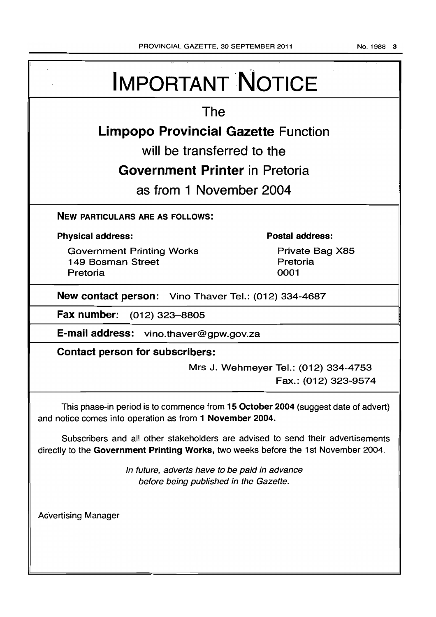No.1988 3

| <b>IMPORTANT NOTICE</b>                                                                                                                                               |                                                              |  |  |  |
|-----------------------------------------------------------------------------------------------------------------------------------------------------------------------|--------------------------------------------------------------|--|--|--|
| The                                                                                                                                                                   |                                                              |  |  |  |
| <b>Limpopo Provincial Gazette Function</b>                                                                                                                            |                                                              |  |  |  |
| will be transferred to the                                                                                                                                            |                                                              |  |  |  |
| <b>Government Printer</b> in Pretoria                                                                                                                                 |                                                              |  |  |  |
| as from 1 November 2004                                                                                                                                               |                                                              |  |  |  |
| <b>NEW PARTICULARS ARE AS FOLLOWS:</b>                                                                                                                                |                                                              |  |  |  |
| <b>Physical address:</b>                                                                                                                                              | <b>Postal address:</b>                                       |  |  |  |
| <b>Government Printing Works</b><br>149 Bosman Street<br>Pretoria                                                                                                     | Private Bag X85<br>Pretoria<br>0001                          |  |  |  |
| New contact person: Vino Thaver Tel.: (012) 334-4687                                                                                                                  |                                                              |  |  |  |
| <b>Fax number:</b><br>(012) 323–8805                                                                                                                                  |                                                              |  |  |  |
| E-mail address: vino.thaver@gpw.gov.za                                                                                                                                |                                                              |  |  |  |
| <b>Contact person for subscribers:</b>                                                                                                                                |                                                              |  |  |  |
|                                                                                                                                                                       | Mrs J. Wehmeyer Tel.: (012) 334-4753<br>Fax.: (012) 323-9574 |  |  |  |
| This phase-in period is to commence from 15 October 2004 (suggest date of advert)<br>and notice comes into operation as from 1 November 2004.                         |                                                              |  |  |  |
| Subscribers and all other stakeholders are advised to send their advertisements<br>directly to the Government Printing Works, two weeks before the 1st November 2004. |                                                              |  |  |  |
| In future, adverts have to be paid in advance<br>before being published in the Gazette.                                                                               |                                                              |  |  |  |
| <b>Advertising Manager</b>                                                                                                                                            |                                                              |  |  |  |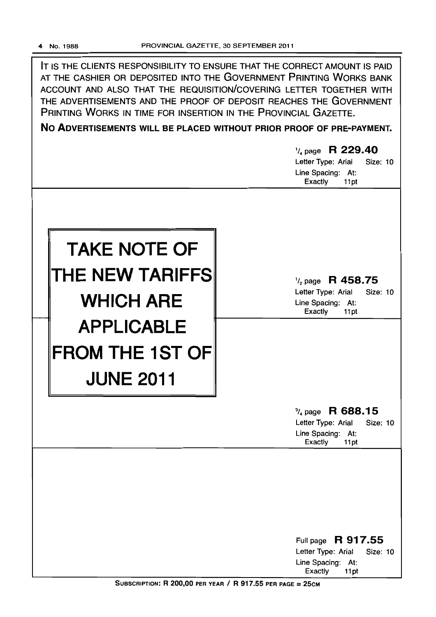IT IS THE CLIENTS RESPONSIBILITY TO ENSURE THAT THE CORRECT AMOUNT IS PAID AT THE CASHIER OR DEPOSITED INTO THE GOVERNMENT PRINTING WORKS BANK ACCOUNT AND ALSO THAT THE REQUISITION/COVERING LETTER TOGETHER WITH THE ADVERTISEMENTS AND THE PROOF OF DEPOSIT REACHES THE GOVERNMENT PRINTING WORKS IN TIME FOR INSERTION IN THE PROVINCIAL GAZETTE.

No ADVERTISEMENTS WILL BE PLACED WITHOUT PRIOR PROOF OF PRE-PAYMENT.

|                                                                                  | $\frac{1}{4}$ page R 229.40<br>Letter Type: Arial<br><b>Size: 10</b><br>Line Spacing: At:<br>Exactly<br>11pt |
|----------------------------------------------------------------------------------|--------------------------------------------------------------------------------------------------------------|
| <b>TAKE NOTE OF</b><br>THE NEW TARIFFS<br><b>WHICH ARE</b>                       | $\frac{1}{2}$ page R 458.75<br>Letter Type: Arial<br><b>Size: 10</b><br>Line Spacing: At:<br>Exactly<br>11pt |
| <b>APPLICABLE</b><br>$\parallel$ FROM THE 1ST OF $\parallel$<br><b>JUNE 2011</b> |                                                                                                              |
|                                                                                  | $\frac{3}{4}$ page R 688.15<br>Letter Type: Arial<br><b>Size: 10</b><br>Line Spacing: At:<br>Exactly<br>11pt |
|                                                                                  | R 917.55<br>Full page                                                                                        |
|                                                                                  | Letter Type: Arial<br>Size: 10<br>Line Spacing: At:<br>Exactly<br>11pt                                       |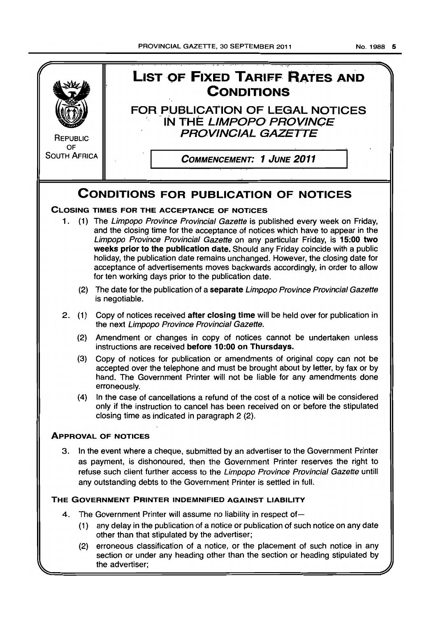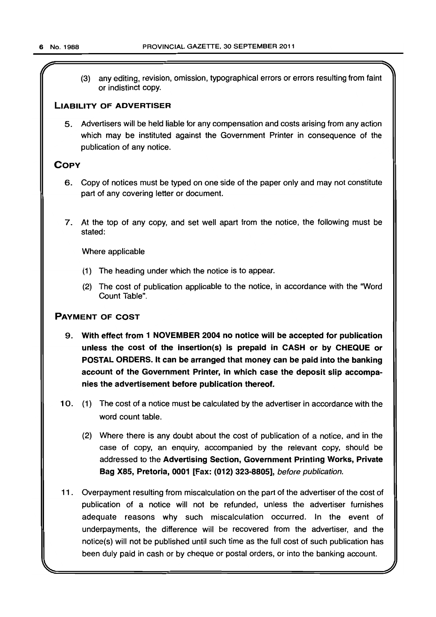(3) any editing, revision, omission, typographical errors or errors resulting from faint or indistinct copy.

#### **LIABILITY OF ADVERTISER**

5. Advertisers will be held liable for any compensation and costs arising from any action which may be instituted against the Government Printer in consequence of the publication of any notice.

#### **COpy**

- 6. Copy of notices must be typed on one side of the paper only and may not constitute part of any covering letter or document.
- 7. At the top of any copy, and set well apart from the notice, the following must be stated:

Where applicable

- (1) The heading under which the notice is to appear.
- (2) The cost of publication applicable to the notice. in accordance with the "Word Count Table".

#### **PAYMENT OF COST**

- 9. **With effect from 1 NOVEMBER 2004 no notice will be accepted for publication unless the cost of the insertion(s) is prepaid in CASH or by CHEQUE or POSTAL ORDERS. It can be arranged that money can be paid into the banking account of the Government Printer, in which case the deposit slip accompanies the advertisement before publication thereof.**
- 10. (1) The cost of a notice must be calculated by the advertiser in accordance with the word count table.
	- (2) Where there is any doubt about the cost of publication of a notice, and in the case of copy, an enquiry, accompanied by the relevant copy, should be addressed to the **Advertising Section, Government Printing Works, Private Bag X85, Pretoria, 0001 [Fax: (012) 323-8805],** before publication.
- 11. Overpayment resulting from miscalculation on the part of the advertiser of the cost of publication of a notice will not be refunded, unless the advertiser furnishes adequate reasons why such miscalculation occurred. In the event of underpayments, the difference will be recovered from the advertiser, and the notice(s) will not be published until such time as the full cost of such publication has been duly paid in cash or by cheque or postal orders, or into the banking account.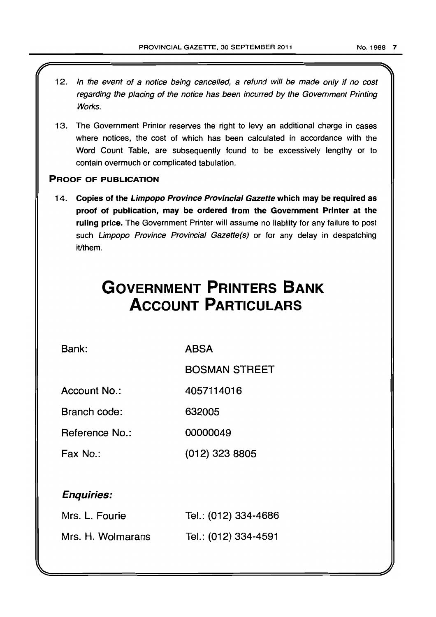- 12. In the event of a notice being cancelled, a refund will be made only if no cost regarding the placing of the notice has been incurred by the Government Printing Works.
- 13. The Government Printer reserves the right to levy an additional charge in cases where notices, the cost of which has been calculated in accordance with the Word Count Table, are subsequently found to be excessively lengthy or to contain overmuch or complicated tabulation.

#### PROOF OF PUBLICATION

14. Copies of the Limpopo Province Provincial Gazette which may be required as proof of publication, may be ordered from the Government Printer at the ruling price. The Government Printer will assume no liability for any failure to post such Limpopo Province Provincial Gazette(s) or for any delay in despatching it/them.

# **GOVERNMENT PRINTERS BANK ACCOUNT PARTICULARS**

Bank:

ABSA

BOSMAN STREET

Account No.: 4057114016

Branch code: 632005

Reference No.: 00000049

Fax No.: (012) 323 8805

### Enquiries:

| Mrs. L. Fourie    | Tel.: (012) 334-4686 |
|-------------------|----------------------|
| Mrs. H. Wolmarans | Tel.: (012) 334-4591 |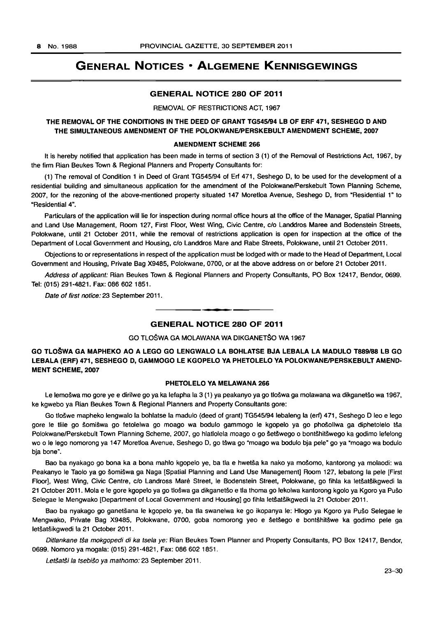#### GENERAL NOTICES • ALGEMENE KENNISGEWINGS

#### GENERAL NOTICE 280 OF 2011

#### REMOVAL OF RESTRICTIONS ACT, 1967

#### THE REMOVAL OF THE CONDITIONS IN THE DEED OF GRANT TG545/94 LB OF ERF 471, SESHEGO D AND THE SIMULTANEOUS AMENDMENT OF THE POLOKWANE/PERSKEBULT AMENDMENT SCHEME, 2007

#### AMENDMENT SCHEME 266

It is hereby notified that application has been made in terms of section 3 (1) of the Removal of Restrictions Act, 1967, by the firm Rian Beukes Town & Regional Planners and Property Consultants for:

(1) The removal of Condition 1 in Deed of Grant *TG545/94* of Erf 471, Seshego D, to be used for the development of a residential building and simultaneous application for the amendment of the Polokwane/Perskebult Town Planning Scheme, 2007, for the rezoning of the above-mentioned property situated 147 Moretloa Avenue, Seshego D, from "Residential 1" to "Residential 4".

Particulars of the application will lie for inspection during normal office hours at the office of the Manager, Spatial Planning and Land Use Management, Room 127, First Floor, West Wing, Civic Centre, c/o Landdros Maree and Bodenstein Streets, Polokwane, until 21 October 2011, while the removal of restrictions application is open for inspection at the office of the Department of Local Government and Housing, c/o Landdros Mare and Rabe Streets, Polokwane, until 21 October 2011.

Objections to or representations in respect of the application must be lodged with or made to the Head of Department, Local Government and Housing, Private Bag X9485, Polokwane, 0700, or at the above address on or before 21 October 2011.

Address of applicant: Rian Beukes Town & Regional Planners and Property Consultants, PO Box 12417, Bendor, 0699. Tel: (015) 291-4821. Fax: 086 602 1851.

Date of first notice: 23 September 2011.

## **•**  GENERAL NOTICE 280 OF 2011

#### GO TLOSWA GA MOLAWANA WA DIKGANETSO WA 1967

#### GO TLOŠWA GA MAPHEKO AO A LEGO GO LENGWALO LA BOHLATSE BJA LEBALA LA MADULO T889/88 LB GO LEBALA (ERF) 471, SESHEGO D, GAMMOGO LE KGOPELO YA PHETOLELO YA POLOKWANE/PERSKEBULT AMEND-MENT SCHEME, 2007

#### PHETOLELO VA MELAWANA 266

Le lemošwa mo gore ye e dirilwe go ya ka lefapha la 3 (1) ya peakanyo ya go tlošwa ga molawana wa dikganetšo wa 1967, ke kgwebo ya Rian Beukes Town & Regional Planners and Property Consultants gore:

Go tloswe mapheko lengwalo la bohlatse la madulo (deed of grant) *TG545/94* lebaleng la (ert) 471, Seshego D leo e lego gore le tlile go šomišwa go fetolelwa go moago wa bodulo gammogo le kgopelo ya go phošollwa ga diphetolelo tša Polokwane/Perskebult Town Planning Scheme, 2007, go hlatlolela moago o go šetšwego o bontšhitšwego ka godimo lefelong wo 0 Ie lego nomorong ya 147 Moretloa Avenue, Seshego D, go tswa go "moago wa bodulo bja pele" go ya "moago wa bodulo bja bone".

Bao ba nyakago go bona ka a bona mahlo kgopelo ye, ba tla e hwetša ka nako ya mošomo, kantorong ya molaodi: wa Peakanyo le Taolo ya go šomišwa ga Naga [Spatial Planning and Land Use Management] Room 127, lebatong la pele [First Floor], West Wing, Civic Centre, c/o Landross Maré Street, le Bodenstein Street, Polokwane, go fihla ka letšatšikgwedi la 21 October 2011. Mola e le gore kgopelo ya go tlošwa ga dikganetšo e tla thoma go lekolwa kantorong kgolo ya Kgoro ya Pušo Selegae Ie Mengwako [Department of Local Government and Housing] go fihla letsatsikgwedi la 21 October 2011 .

Bao ba nyakago go ganetsana Ie kgopelo ye, ba tla swanelwa ke go ikopanya Ie: Hlogo ya Kgoro ya Puso Selegae Ie Mengwako, Private Bag X9485, Polokwane, 0700, goba nomorong yeo e setsego e bontshitswe ka godimo pele ga letšatšikgwedi la 21 October 2011.

Ditlankane tša mokgopedi di ka tsela ye: Rian Beukes Town Planner and Property Consultants, PO Box 12417, Bendor, 0699. Nomoro ya mogala: (015) 291-4821, Fax: 086 602 1851.

Letšatši la tsebišo ya mathomo: 23 September 2011.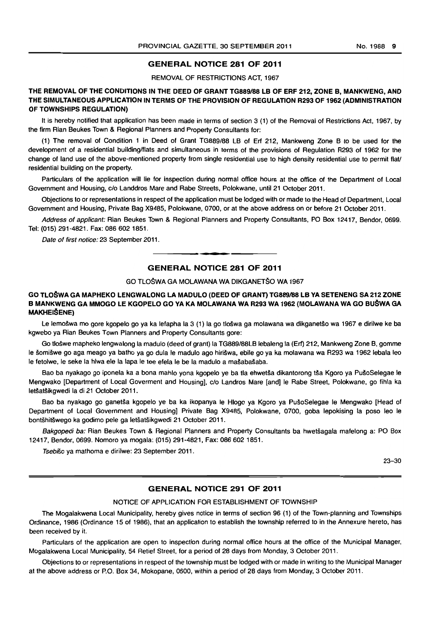#### GENERAL NOTICE 281 OF 2011

REMOVAL OF RESTRICTIONS ACT, 1967

THE REMOVAL OF THE CONDITIONS IN THE DEED OF GRANT TG889188 LB OF ERF 212, ZONE B, MANKWENG, AND THE SIMULTANEOUS APPLICATION IN TERMS OF THE PROVISION OF REGULATION R293 OF 1962 (ADMINISTRATION OF TOWNSHIPS REGULATION)

It is hereby notified that application has been made in terms of section 3 (1) of the Removal of Restrictions Act, 1967, by the firm Rian Beukes Town & Regional Planners and Property Consultants for:

(1) The removal of Condition 1 in Deed of Grant TG889/88 LB of Erf 212, Mankweng Zone B to be used for the development of a residential building/flats and simultaneous in terms of the provisions of Regulation R293 of 1962 for the change of land use of the above-mentioned property from single residential use to high density residential use to permit flaV residential building on the property.

Particulars of the application will lie for inspection during normal office hours at the office of the Department of Local Government and Housing, c/o Landdros Mare and Rabe Streets. Polokwane, until 21 October 2011.

Objections to or representations in respect of the application must be lodged with or made to the Head of Department, Local Government and Housing. Private Bag X9485, Polokwane, 0700, or at the above address on or before 21 October 2011.

Address of applicant: Rian Beukes Town & Regional Planners and Property Consultants. PO Box 12417. Bendor, 0699. Tel: (015) 291-4821. Fax: 086 6021851.

Date of first notice: 23 September 2011.

#### **GENERAL NOTICE 281 OF 2011**

. ~ **.** 

#### GO TL08WA GA MOLAWANA WA DIKGANETSO WA 1967

#### GO TLOŠWA GA MAPHEKO LENGWALONG LA MADULO (DEED OF GRANT) TG889/88 LB YA SETENENG SA 212 ZONE B MANKWENG GA MMOGO LE KGOPELO GO YA KA MOLAWANA WA R293 WA 1962 (MOLAWANA WA GO BUŠWA GA **MAKHEIŠENE)**

Le lemošwa mo gore kgopelo go ya ka lefapha la 3 (1) la go tlošwa ga molawana wa dikganetšo wa 1967 e dirilwe ke ba kgwebo ya Rian Beukes Town Planners and Property Consultants gore:

Go tlošwe mapheko lengwalong la madulo (deed of grant) la TG889/88LB lebaleng la (Erf) 212, Mankweng Zone B, gomme Ie somiswe go aga meago ya batho ya go dula Ie madulo ago hiriswa, ebile go ya ka molawana wa R293 wa 1962 lebala leo Ie fetolwe, Ie seke la hlwa ele la lapa Ie tee efela Ie be la madulo a masabasaba.

Bao ba nyakago go iponela ka a bona mahlo yona kgopelo ye ba tla ehwetša dikantorong tša Kgoro ya PušoSelegae le Mengwako [Department of Local Goverment and Housing]. c/o Landros Mare [and] Ie Rabe Street, Polokwane. go fihla ka letšatšikgwedi la di 21 October 2011.

Bao ba nyakago go ganetša kgopelo ye ba ka ikopanya le Hlogo ya Kgoro ya PušoSelegae le Mengwako [Head of Department of Local Government and Housing] Private Bag X9485. Polokwane. 0700. goba lepokising la poso leo Ie bontshitswego ka godimo pele ga letsatsikgwedi 21 October 2011.

Bakgopedi ba: Rian Beukes Town & Regional Planners and Property Consultants ba hwetšagala mafelong a: PO Box 12417, Bendor. 0699. Nomoro ya mogala: (015) 291-4821. Fax: 0866021851.

Tsebiso ya mathoma e dirilwe: 23 September 2011.

23-30

#### GENERAL NOTICE 291 OF 2011

NOTICE OF APPLICATION FOR ESTABLISHMENT OF TOWNSHIP

The Mogalakwena Local Municipality. hereby gives notice in terms of section 96 (1) of the Town-planning and Townships Ordinance, 1986 (Ordinance 15 of 1986), that an application to establish the township referred to in the Annexure hereto, has been received by it.

Particulars of the application are open to inspection during normal office hours at the office of the Municipal Manager, Mogalakwena Local Municipality. 54 Retief Street. for a period of 28 days from Monday, 3 October 2011.

Objections to or representations in respect of the township must be lodged with or made in writing to the Municipal Manager at the above address or P.O. Box 34. Mokopane. 0600, within a period of 28 days from Monday, 3 October 2011.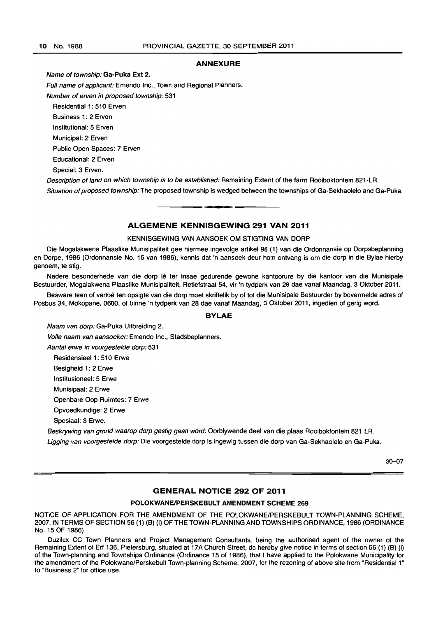#### ANNEXURE

Name of township: Ga-Puka Ext 2.

Full name of applicant: Emendo Inc., Town and Regional Planners. Number of erven in proposed township: 531 Residential 1: 510 Erven Business 1: 2 Erven Institutional: 5 Erven Municipal: 2 Erven Public Open Spaces: 7 Erven Educational: 2 Erven Special: 3 Erven. Description of land on which township is to be established: Remaining Extent of the farm Rooibokfontein 821-lA.

Situation of proposed township: The proposed township is wedged between the townships of Ga-Sekhaolelo and Ga-Puka. . **- .** 

#### ALGEMENE KENNISGEWING 291 VAN 2011

#### KENNISGEWING VAN AANSOEK OM STIGTING VAN DORP

Die Mogalakwena Plaaslike Munisipaliteit gee hiermee ingevolge artikel 96 (1) van die Ordonnansie op Dorpsbeplanning en Dorpe, 1986 (Ordonnansie No. 15 van 1986). kennis dat 'n aansoek deur hom ontvang is om die dorp in die Bylae hierby genoem, te stig.

Nadere besonderhede van die dorp Iê ter insae gedurende gewone kantoorure by die kantoor van die Munisipale Bestuurder. Mogalakwena Plaaslike Munisipaliteit, Retiefstraat 54, vir 'n tydperk van 28 dae vanaf Maandag, 3 Oktober 2011.

Besware teen of vertoë ten opsigte van die dorp moet skriftelik by of tot die Munisipale Bestuurder by bovermelde adres of Posbus 34, Mokopane, 0600, of binne 'n tydperk van 28 dae vanaf Maandag, 3 Oktober 2011, ingedien of gerig word.

#### BYLAE

Naam van dorp: Ga-Puka Uitbreiding 2. Volle naam van aansoeker: Emendo Inc., Stadsbeplanners. Aantal erwe in voorgestelde dorp: 531 Residensieel 1: 510 Erwe Besigheid 1: 2 Erwe Institusioneel: 5 Erwe Munisipaal: 2 Erwe Openbare Oop Ruimtes: 7 Erwe Opvoedkundige: 2 Erwe

Spesiaal: 3 Erwe.

Beskrywing van grond waarop dorp gestig gaan word: Oorblywende deel van die plaas Rooibokfontein 821 LR. Ligging van voorgestelde dorp: Die voorgestelde dorp is ingewig tussen die dorp van Ga-Sekhaolelo en Ga-Puka.

30-07

#### GENERAL NOTICE 292 OF 2011

#### POLOKWANEJPERSKEBULT AMENDMENT SCHEME 269

NOTICE OF APPLICATION FOR THE AMENDMENT OF THE POLOKWANE/PERSKEBULT TOWN-PLANNING SCHEME, 2007, IN TERMS OF SECTION 56 (1) (B) (i) OF THE TOWN-PLANNING AND TOWNSHIPS ORDINANCE, 1986 (ORDINANCE No. 15 OF 1986)

Duzilux CC Town Planners and Project Management Consultants, being the authorised agent of the owner of the Remaining Extent of Erf 136, Pietersburg, situated at 17A Church Street, do hereby give notice in terms of section 56 (1) (B) (i) of the Town-planning and Townships Ordinance (Ordinance 15 of 1986), that I have applied to the Polokwane Municipality for the amendment of the Polokwane/Perskebult Town-planning Scheme, 2007, for the rezoning of above site from "Residential 1" to "Business 2" for office use.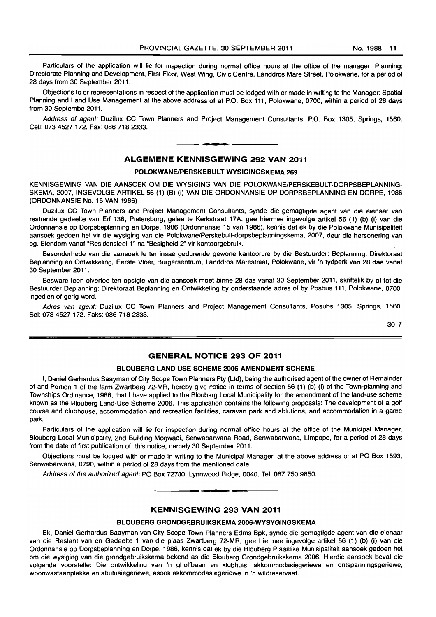Particulars of the application will lie for inspection during normal office hours at the office of the manager: Planning: Directorate Planning and Development, First Floor, West Wing, Civic Centre, Landdros Mare Street, Polokwane, for a period of 28 days from 30 September 2011.

Objections to or representations in respect of the application must be lodged with or made in writing to the Manager: Spatial Planning and Land Use Management at the above address of at P.O. Box 111, Polokwane, 0700, within a period of 28 days from 30 Septembe 2011.

Address of agent: Duzilux CC Town Planners and Project Management Consultants, P.O. Box 1305, Springs, 1560. Cell: 073 4527172. Fax: 086 718 2333.

I **\_ I** 

#### ALGEMENE KENNISGEWING 292 VAN 2011

#### POLOKWANE/PERSKEBULT WYSIGINGSKEMA 269

KENNISGEWING VAN DIE AANSOEK OM DIE WYSIGING VAN DIE POLOKWANE/PERSKEBULT-DORPSBEPLANNING-SKEMA, 2007, INGEVOLGE ARTIKEL 56 (1) (B) (i) VAN DIE ORDONNANSIE OP DORPSBEPLANNING EN DORPE, 1986 (ORDONNANSIE No. 15 VAN 1986)

Duzilux CC Town Planners and Project Management Consultants, synde die gemagtigde agent van die eienaar van restrende gedeelte van Erf 136, Pietersburg, gelee te Kerkstraat 17A, gee hiermee ingevolge artikel 56 (1) (b) (i) van die Ordonnansie op Dorpsbeplanning en Dorpe, 1986 (Ordonnansie 15 van 1986), kennis dat ek by die Polokwane Munisipaliteit aansoek gedoen het vir die wysiging van die Polokwane/Perskebult-dorpsbeplanningskema, 2007, deur die hersonering van bg. Eiendom vanaf "Residensieel 1" na "Besigheid 2" vir kantoorgebruik.

Besonderhede van die aansoek Ie ter insae gedurende gewone kantoorure by die Bestuurder: Beplanning: Direktoraat Beplanning en Ontwikkeling, Eerste Vloer, Burgersentrum, Landdros Marestraat, Polokwane, vir 'n tydperk van 28 dae vanaf 30 September 2011.

Besware teen ofvertoe ten opsigte van die aansoek moet binne 28 dae vanaf 30 September 2011, skriftelik by of tot die Bestuurder Deplanning: Direktoraat Beplanning en Ontwikkeling by onderstaande adres of by Posbus 111, Polokwane, 0700, ingedien of gerig word.

Adres van agent: Duzilux CC Town Planners and Project Management Consultants, Posubs 1305, Springs, 1560. Sel: 073 4527172. Faks: 086 718 2333.

30-7

#### GENERAL NOTICE 293 OF 2011

#### BLOUBERG LAND USE SCHEME 2006-AMENDMENT SCHEME

I, Daniel Gerhardus Saayman of City Scope Town Planners Pty (Ltd), being the authorised agent of the owner of Remainder of and Portion 1 of the farm Zwartberg 72-MR, hereby give notice in terms of section 56 (1) (b) (i) of the Town-planning and Townships Ordinance, 1986, that I have applied to the Blouberg Local Municipality for the amendment of the land-use scheme known as the Blouberg Land-Use Scheme 2006. This application contains the following proposals: The development of a golf course and clubhouse, accommodation and recreation facilities, caravan park and ablutions, and accommodation in a game park.

Particulars of the application will lie for inspection during normal office hours at the office of the Municipal Manager, Blouberg Local Municipality, 2nd Building Mogwadi, Senwabarwana Road, Senwabarwana, Limpopo, for a period of 28 days from the date of first publication of this notice, namely 30 September 2011.

Objections must be lodged with or made in writing to the Municipal Manager, at the above address or at PO Box 1593, Senwabarwana. 0790, within a period of 28 days from the mentioned date.

Address of the authorized agent: PO Box 72780, Lynnwood Ridge. 0040. Tel: 087 750 9850.

#### KENNISGEWING 293 VAN 2011

I **\_ •** 

#### BLOUBERG GRONDGEBRUIKSKEMA 2006-WYSYGINGSKEMA

Ek, Daniel Gerhardus Saayman van City Scope Town Planners Edms Bpk, synde die gemagtigde agent van die eienaar van die Restant van en Gedeelte 1 van die plaas Zwartberg 72-MR, gee hiermee ingevolge artikel 56 (1) (b) (i) van die Ordonnansie op Dorpsbeplanning en Dorpe, 1986, kennis dal ek by die Blouberg Plaaslike Munisipalileit aansoek gedoen het om die wysiging van die grondgebruikskema bekend as die Blouberg Grondgebruikskema 2006. Hierdie aansoek beval die volgende voorstelle: Die ontwikkeling van 'n gholfbaan en klubhuis, akkommodasiegeriewe en ontspanningsgeriewe, woonwastaanplekke en abulusiegeriewe, asook akkommodasiegeriewe in 'n wildreservaat.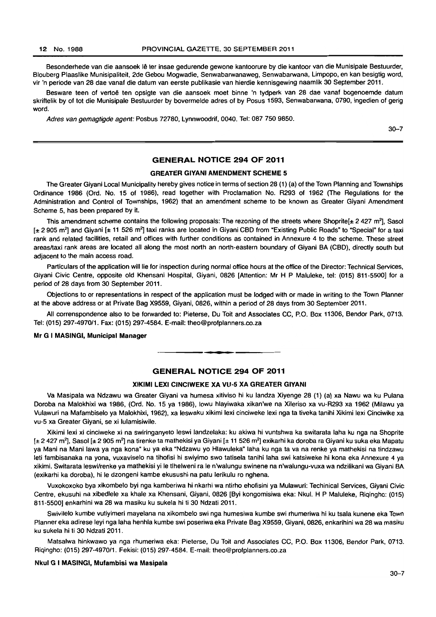Besonderhede van die aansoek lê ter insae gedurende gewone kantoorure by die kantoor van die Munisipale Bestuurder, Blouberg Plaaslike Munisipaliteit, 2de Gebou Mogwadie, Senwabarwanaweg, Senwabarwana, Limpopo, en kan besigtig word, vir 'n periode van 28 dae vanaf die datum van eerste publikasie van hierdie kennisgewing naamlik 30 September 2011.

Besware teen of vertoë ten opsigte van die aansoek moet binne 'n tydperk van 28 dae vanaf bogenoemde datum skriftelik by of tot die Munisipale Bestuurder by bovermelde adres of by Posus 1593, Senwabarwana, 0790, ingedien of gerig word.

Adres van gemagtigde agent: Posbus 72780, Lynnwoodrif, 0040. Tel: 087 750 9850.

30-7

#### GENERAL NOTICE 294 OF 2011

#### GREATER GIVANI AMENDMENT SCHEME 5

The Greater Giyani Local Municipality hereby gives notice in terms of section 28 (1) (a) of the Town Planning and Townships Ordinance 1986 (Ord. No. 15 of 1986), read together with Proclamation No. R293 of 1962 (The Regulations for the Administration and Control of Townships, 1962) that an amendment scheme to be known as Greater Giyani Amendment Scheme 5, has been prepared by it.

This amendment scheme contains the following proposals: The rezoning of the streets where Shoprite[ $\pm$  2 427 m<sup>2</sup>], Sasol  $[t 2905 m<sup>2</sup>]$  and Giyani  $[t 11 526 m<sup>2</sup>]$  taxi ranks are located in Giyani CBD from "Existing Public Roads" to "Special" for a taxi rank and related facilities, retail and offices with further conditions as contained in Annexure 4 to the scheme. These street areas/taxi rank areas are located all along the most north an north-eastern boundary of Giyani BA (CBD), directly south but adjacent to the main access road.

Particulars of the application will lie for inspection during normal office hours at the office of the Director: Technical Services, Giyani Civic Centre, opposite old Khensani Hospital, Giyani, 0826 [Attention: Mr H P Maluleke, tel: (015) 811-55001 for a period of 28 days from 30 September 2011.

Objections to or representations in respect of the application must be lodged with or made in writing to the Town Planner at the above address or at Private Bag X9559, Giyani, 0826, within a period of 28 days from 30 September 2011.

All correnspondence also to be forwarded to: Pieterse, Du Toil and Associates CC, P.O. Box 11306, Bendor Park, 0713. Tel: (015) 297-4970/1. Fax: (015) 297-4584. E-mail: theo@profplanners.co.za

#### Mr G I MASINGI, Municipal Manager

#### GENERAL NOTICE 294 OF 2011

• **- \*** 

#### XIKIMI LEXI CINCIWEKE XA VU~5 XA GREATER GIVANI

Va Masipala wa Ndzawu wa Greater Giyani va humesa xitiviso hi ku landza Xiyenge 28 (1) (a) xa Nawu wa ku Pulana Doroba na Malokhixi wa 1986, (Ord. No. 15 ya 1986), lowu hlayiwaka xikan'we na Xileriso xa vu-R293 xa 1962 (Milawu ya Vulawuri na Mafambiselo ya Malokhixi, 1962), xa leswaku xikimi lexi cinciweke lexi nga ta tiveka tanihi Xikimi lexi Cinciwike xa vu-5 xa Greater Giyani, se xi lulamisiwile.

Xikimi lexi xi cinciweke xi na swiringanyeto leswi landzelaka: ku akiwa hi vuntshwa ka switarata laha ku nga na Shoprite  $[t 2 427 m<sup>2</sup>]$ , Sasol  $[t 2 905 m<sup>2</sup>]$  na tirenke ta mathekisi ya Giyani  $[t 11 526 m<sup>2</sup>]$  exikarhi ka doroba ra Giyani ku suka eka Mapatu ya Mani na Mani lawa ya nga kona" ku ya eka "Ndzawu yo Hlawuleka" laha ku nga ta va na renke ya mathekisi na tindzawu leti fambisanaka na yona, vuxaviselo na tihofisi hi swiyimo swo tatisela tanihi laha swi katsiweke hi kona eka Annexure 4 ya xikimi. Swilarata leswi/renke ya mathekisi yi Ie tlhelweni ra Ie n'walungu swinene na n'walungu-vuxa wa ndzilikani wa Giyani BA (exikarhi ka doroba), hi le dzongeni kambe ekusushi na patu lerikulu ro nghena.

Vuxokoxoko bya xikombelo byi nga kamberiwa hi nkarhi wa ntirho ehofisini ya Mulawuri: Techinical Services, Giyani Civic Centre, ekusuhi na xibedlele xa khale xa Khensani. Giyani, 0826 [Byi kongomisiwa eka: Nkul. H P Maluleke, Riqingho: (015) 811-5500] enkarhini wa 28 wa masiku ku sukela hi ti 30 Ndzati 2011.

Swivilelo kumbe vutiyimeri mayelana na xikombelo swi nga humesiwa kumbe swi rhumeriwa hi ku tsala kunene eka Town Planner eka adirese leyi nga laha henhla kumbe swi poseriwa eka Private Bag X9559, Giyani. 0826, enkarihini wa 28 wa masiku ku sukela hi ti 30 Ndzati 2011.

Matsalwa hinkwawo ya nga rhumeriwa eka: Pieterse, Du Toit and Associates CC, P.O. Box 11306, Bendor Park, 0713. Riqingho: (015) 297-497011. Fekisi: (015) 297·4584. E-mail: theo@profplanners.co.za

#### Nkul G I MASINGI, Mufambisi wa Masipala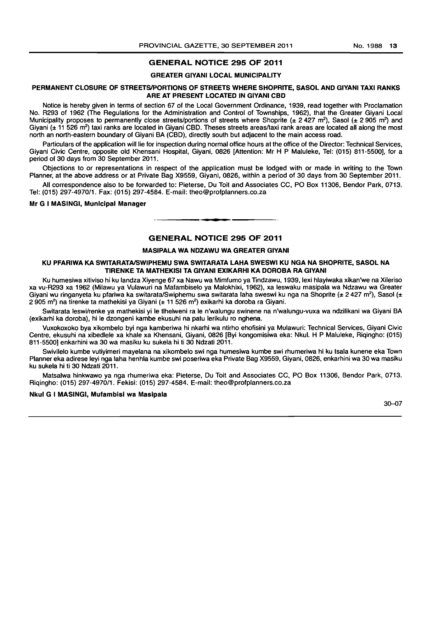#### GENERAL NOTICE 295 OF 2011

#### GREATER GIVANI LOCAL MUNICIPALITY

#### PERMANENT CLOSURE OF STREETS/PORTIONS OF STREETS WHERE SHOPRITE, SASOL AND GIYANI TAXI RANKS ARE AT PRESENT LOCATED IN GIVANI CBD

Notice is hereby given in terms of section 67 of the Local Government Ordinance, 1939, read together with Proclamation No. R293 of 1962 (The Regulations for the Administration and Control of Townships, 1962), that the Greater Giyani Local Municipality proposes to permanently close streets/portions of streets where Shoprite ( $\pm$  2 427 m<sup>2</sup>), Sasol ( $\pm$  2 905 m<sup>2</sup>) and Giyani (± 11 526 m<sup>2</sup>) taxi ranks are located in Giyani CBD. Theses streets areas/taxi rank areas are located all along the most north an north-eastern boundary of Giyani BA (CBD), directly south but adjacent to the main access road.

Particulars of the application will lie for inspection during normal office hours at the office of the Director: Technical Services, Giyani Civic Centre, opposite old Khensani Hospital, Giyani, 0826 [Attention: Mr H P Maluleke, Tel: (015) 811-5500], for a period of 30 days from 30 September 2011.

Objections to or representations in respect of the application must be lodged with or made in writing to the Town Planner, at the above address or at Private Bag X9559, Giyani, 0826, within a period of 30 days from 30 September 2011.

All correspondence also to be forwarded to: Pieterse, Du Toit and Associates CC, PO Box 11306, Bendor Park, 0713. Tel: (015) 297-4970/1. Fax: (015) 297-4584. E-mail: theo@profplanners.co.za

Mr G I MASINGI, Municipal Manager

#### GENERAL NOTICE 295 OF 2011

**•** 

#### MASIPALA WA NDZAWU WA GREATER GIVANI

#### KU PFARIWA KA SWITARATAISWIPHEMU SWA SWITARATA LAHA SWESWI KU NGA NA SHOPRITE, SASOL NA TIRENKE TA MATHEKISI TA GIYANI EXIKARHI KA DOROBA RA GIYANI

Ku humesiwa xitiviso hi ku landza Xiyenge 67 xa Nawu wa Mimfumo ya Tindzawu, 1939, lexi hlayiwaka xikan'we na Xileriso xa vu-R293 xa 1962 (Milawu ya Vulawuri na Mafambiselo ya Malokhixi, 1962), xa leswaku masipala wa Ndzawu wa Greater Giyani wu ringanyeta ku pfariwa ka switarata/Swiphemu swa switarata laha sweswi ku nga na Shoprite (± 2 427 m<sup>2</sup>), Sasol (± 2 905 m<sup>2</sup>) na tirenke ta mathekisi ya Giyani (± 11 526 m<sup>2</sup>) exikarhi ka doroba ra Giyani.

Switarata leswilrenke ya mathekisi yi Ie tlhelweni ra Ie n'walungu swinene na n'walungu-vuxa wa ndzilikani wa Giyani BA (exikarhi ka doroba), hi Ie dzongeni kambe ekusuhi na patu lerikulu ro nghena.

Vuxokoxoko bya xikombelo byi nga kamberiwa hi nkarhi wa ntirho ehofisini ya Mulawuri: Technical Services, Giyani Civic Centre, ekusuhi na xibedlele xa khale xa Khensani, Giyani, 0826 [Byi kongomisiwa eka: Nkul. H P Maluleke, Riqingho: (015) 811-5500] enkarhini wa 30 wa masiku ku sukela hi ti 30 Ndzati 2011.

Swivilelo kumbe vutiyimeri mayelana na xikombelo swi nga humesiwa kumbe swi rhumeriwa hi ku tsala kunene eka Town Planner eka adirese leyi nga laha henhla kumbe swi poseriwa eka Private Bag X9559, Giyani, 0826, enkarhini wa 30 wa masiku ku sukela hi ti 30 Ndzati 2011.

Matsalwa hinkwawo ya nga rhumeriwa eka: Pieterse, Du Toit and Associates CC, PO Box 11306, Bendor Park, 0713. Riqingho: (015) 297-4970/1. Fekisi: (015) 297-4584. E-mail: theo@profplanners.co.za

#### Nkul G I MASINGI, Mufambisl wa Maslpala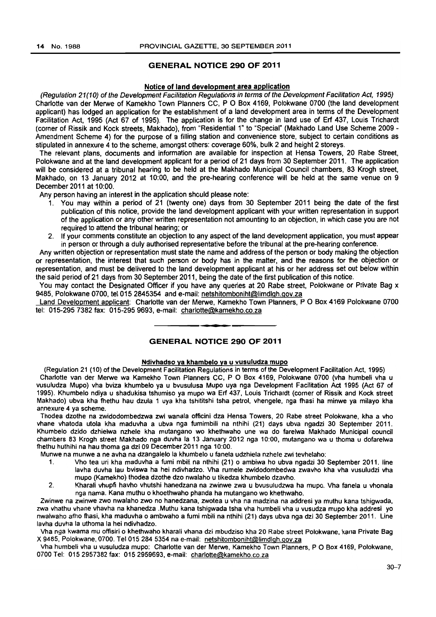#### GENERAL NOTICE 290 OF 2011

#### Notice of land development area application

(Regulation 21 (1 0) of the Development Facilitation Regulations in terms of the Development Facilitation Act, 1995) Charlotte van der Merwe of Kamekho Town Planners CC, POBox 4169, Polokwane 0700 (the land development applicant) has lodged an application for the establishment of a land development area in terms of the Development Facilitation Act, 1995 (Act 67 of 1995). The application is for the change in land use of Erf 437, Louis Trichardt (corner of Rissik and Kock streets, Makhado), from "Residential 1" to "Special" (Makhado Land Use Scheme 2009- Amendment Scheme 4) for the purpose of a filling station and convenience store, subject to certain conditions as stipulated in annexure 4 to the scheme, amongst others: coverage 60%, bulk 2 and height 2 storeys.

The relevant plans, documents and information are available for inspection at Hensa Towers, 20 Rabe Street, Polokwane and at the land development applicant for a period of 21 days from 30 September 2011. The application will be considered at a tribunal hearing to be held at the Makhado Municipal Council chambers, 83 Krogh street, Makhado. on 13 January 2012 at 10:00, and the pre-hearing conference will be held at the same venue on 9 December 2011 at 10:00.

Any person having an interest in the application should please note:

- 1. You may within a period of 21 (twenty one) days from 30 September 2011 being the date of the first publication of this notice, provide the land development applicant with your written representation in support of the application or any other written representation not amounting to an objection, in which case you are not required to attend the tribunal hearing; or
- 2. If your comments constitute an objection to any aspect of the land development application, you must appear in person or through a duly authorised representative before the tribunal at the pre-hearing conference.

Any written objection or representation must state the name and address of the person or body making the objection or representation, the interest that such person or body has in the matter, and the reasons for the objection or representation. and must be delivered to the land development applicant at his or her address set out below within the said period of 21 days from 30 September 2011, being the date of the first publication of this notice.

You may contact the Designated Officer if you have any queries at 20 Rabe street, Polokwane or Private Bag x 9485. Polokwane 0700, tel 015 2845354 and e-mail: netshitomboniht@limdlgh.gov.za

Land Development applicant: Charlotte van der Merwe. Kamekho Town Planners, P O Box 4169 Polokwane 0700 tel: 015-2957382 fax: 015-2959693, e-mail: charlotte@kamekho.co.za . **- .** 

#### GENERAL NOTICE 290 OF 2011

#### Ndivhadso ya khambelo va u vusuludza mupo

(Regulation 21 (10) ofthe Development Facilitation Regulations in terms of the Development Facilitation Act. 1995) Charlotte van der Merwe wa Kamekho Town Planners CC, POBox 4169, Polokwane 0700 (vha humbeli vha u vusuludza Mupo) vha bviza khumbelo ya u bvusulusa Mupo uya nga Development Facilitation Act 1995 (Act 67 of 1995). Khumbelo ndiya u shadukisa tshumiso ya mupo wa Erf 437, Louis Trichardt (corner of Rissik and Kock street Makhado) ubva kha fhethu hau dzula 1 uya kha tshititshi tsha petrol, vhengele, nga fhasi ha minwe ya milayo kha annexure 4 ya scheme.

Thodea dzothe na zwidodombedzwa zwi wanala officini dza Hensa Towers, 20 Rabe street Polokwane, kha a vho vhane vhatoda utola kha maduvha a ubva nga fumimbili na nthihi (21) days ubva ngadzi 30 September 2011. Khumbelo dzido dzhielwa nzhele kha mutangano wo khethwaho une wa do farelwa Makhado MuniCipal council chambers 83 Krogh street Makhado nga duvha la 13 January 2012 nga 10:00, mutangano wa u thoma u dofarelwa fhethu huthihi na hau thoma ga dzi 09 December 2011 nga 10:00.

Munwe na munwe a ne avha na dzangalelo la khumbelo u faneta udzhiela nzhele zwi tevhelaho:

- 1. Vho tea uri kha maduvha a fumi mbili na nthihi (21) 0 ambiwa ho ubva ngadzi 30 September 2011. line lavha duvha lau bviswa ha hei ndivhadzo. Vha rumele zwidodombedwa zwavho kha vha vusuludzi vha mupo (Kamekho) thodea dzothe dzo nwalaho u tikedza khumbelo dzavho.
- 2. Kharali vhupfi havho vhutshi hanedzana na zwinwe zwa u bvusuludzwa ha mupo. Vha fanela u vhonala nga nama. Kana muthu 0 khoethwaho phanda ha mutangano wo khethwaho.

Zwinwe na zwinwe zwo nwalaho zwo no hanedzana, zwotea u vha na madzina na addresi ya muthu kana tshigwada, zwa vhathu vhane vhavha na khanedza .Muthu kana tshigwada tsha vha humbeli vha u vusudza mupo kha addresi yo nwalwaho afho fhasi, kha maduvha 0 ambwaho a fumi mbili na nthihi (21) days ubva nga dzi 30 September 2011. Line lavha duvha la uthoma la hei ndivhadzo.

Vha nga kwama mu offisiri 0 khethwaho kharali vhana dzi mbudziso kha 20 Rabe street Polokwane, kana Private Bag X 9485. Polokwane, 0700. Tel 015 284 5354 na e-mail: netshitomboniht@limdlgh.gov.za

Vha humbeli vha u vusuludza mupo: Charlotte van der Merwe, Kamekho Town Planners, POBox 4169, Polokwane, 0700 Tel: 015 2957382 fax: 015 2959693, e-mail: charlotte@kamekho.co.za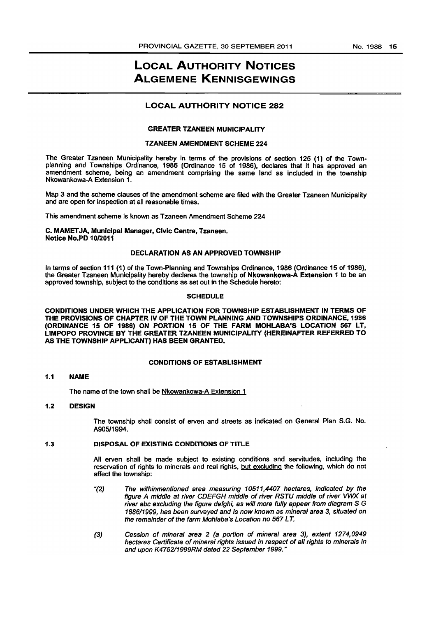# LOCAL AUTHORITY NOTICES ALGEMENE KENNISGEWINGS

#### **LOCAL AUTHORITY NOTICE 282**

#### GREATER TZANEEN MUNICIPALITY

#### TZANEEN AMENDMENT SCHEME 224

The Greater Tzaneen Municipality hereby in terms of the provisions of section 125 (1) of the Townplanning and Townships Ordinance, 1986 (Ordinance 15 of 1986), declares that It has approved an amendment scheme, being an amendment comprising the same land as included in the township Nkowankowa-A Extension 1.

Map 3 and the scheme clauses of the amendment scheme are filed with the Greater Tzaneen Municipality and are open for inspection at all reasonable times.

This amendment scheme is known as Tzaneen Amendment Scheme 224

#### C. MAMET JA, Municipal Manager, Civic Centre, Tzaneen. Notice No.PD 10/2011

#### DECLARATION AS AN APPROVED TOWNSHIP

in terms of section 111 (1) of the Town-Planning and Townships Ordinance, 1986 (Ordinance 15 of 1986), the Greater Tzaneen Municipality hereby declares the township of Nkowankowa-A Extension 1 to be an approved township, subject to the conditions as set out in the Schedule hereto:

#### **SCHEDULE**

CONDITIONS UNDER WHICH THE APPLICATION FOR TOWNSHIP ESTABLISHMENT IN TERMS OF THE PROVISIONS OF CHAPTER IV OF THE TOWN PLANNING AND TOWNSHIPS ORDINANCE, 1986 (ORDINANCE 15 OF 1986) ON PORTION 15 OF THE FARM MOHLABA'S LOCATION 567 LT, LIMPOPO PROVINCE BY THE GREATER TZANEEN MUNICIPALITY (HEREINAFTER REFERRED TO AS THE TOWNSHIP APPLICANT) HAS BEEN GRANTED.

#### CONDITIONS OF ESTABLISHMENT

#### 1.1 NAME

The name of the town shall be Nkowankowa-A Extension 1

#### 1.2 DESIGN

The township shall consist of erven and streets as indicated on General Plan S.G. No. *A905/1994.* 

#### 1.3 DISPOSAL OF EXISTING CONDITIONS OF TITLE

All erven shall be made subject to existing conditions and servitudes, including the reservation of rights to minerals and real rights, but excluding the following, which do not affect the township:

- " $(2)$  The withinmentioned area measuring 10511,4407 hectares, indicated by the figure A middle at river CDEFGH middle of river RSTU middle of river VWX at river abc excluding the figure defghi, as will more fully appear from diagram S G 1886/1999, has been surveyed and Is now known as mineral area 3, situated on the remaInder of the farm Mohlaba's Location no 567 LT.
- (3) Cession of mineraI area 2 (a portion of mineral area 3), extent 1274,0949 hectares Certificate of mineral rights issued in respect of all rights to minerals in and upon K475211999RM dated 22 September 1999."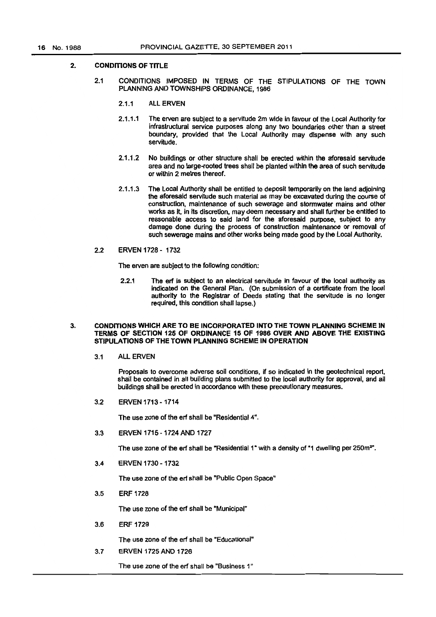#### 2. CONDITIONS OF TITLE

- 2.1 CONDITIONS IMPOSED IN TERMS OF THE STIPULATIONS OF THE TOWN PLANNING AND TOWNSHIPS ORDINANCE, 1986
	- 2.1.1 ALL ERVEN
	- 2.1.1.1 The erven are subject to a servitude 2m wide in favour of the local Authority for infrastructural service purposes along any two boundaries other than a street boundary. provided that the local Authority may dispense with any such servitude.
	- 2.1.1.2 No buildings or other structure shall be erected within the aforesaid servitude area and no large-rooted trees shall be planted within the area of such servitude or within 2 metres thereof.
	- 2.1.1.3 The local Authority shall be entitled to deposit temporarily on the land adjoining the aforesaid servitude such material as may be excavated during the course of construction, maintenance of such sewerage and stormwater mains and other works as it. in Its discretion. may deem necessary and shall further be entitled to reasonable access to said land for the aforesaid purpose, subject to any damage done during the process of construction maintenance or removal of such sewerage mains and other works being made good by the local Authority.
- 2.2 ERVEN 1728 1732

The erven are subject to the following condition:

2.2.1 The erf is subject to an electrical servitude in favour of the local authority as indicated on the General Plan. (On submission of a certificate from the local authority to the Registrar of Deeds stating that the servitude is no longer required. this condition shall lapse.)

#### 3. CONDITIONS WHICH ARE TO BE INCORPORATED INTO THE TOWN PLANNING SCHEME IN TERMS OF SECTION 125 OF ORDINANCE 15 OF 1986 OVER AND ABOVE THE EXISTING STIPULATIONS OF THE TOWN PLANNING SCHEME IN OPERATION

3.1 ALL ERVEN

Proposals to overcome adverse soil conditions, if so indicated in the geotechnical report, shall be contained in aU building plans submitted to the local authority for approval. and all buildings shall be erected in accordance with these precautionary measures.

3.2 ERVEN 1713 - 1714

The use zone of the erf shall be "ResidentiaI4".

3.3 ERVEN 1715 - 1724 AND 1727

The use zone of the erf shall be "Residential 1" with a density of "1 dwelling per 250m<sup>2</sup>".

3.4 ERVEN 1730 - 1732

The use zone of the erf shall be "Public Open Space"

3.5 ERF 1726

The use zone of the ert shall be "Municipal"

3.6 ERF 1729

The use zone of the erf shall be "Educational"

3.7 ERVEN 1725 AND 1726

The use zone of the erf shall be "Business 1"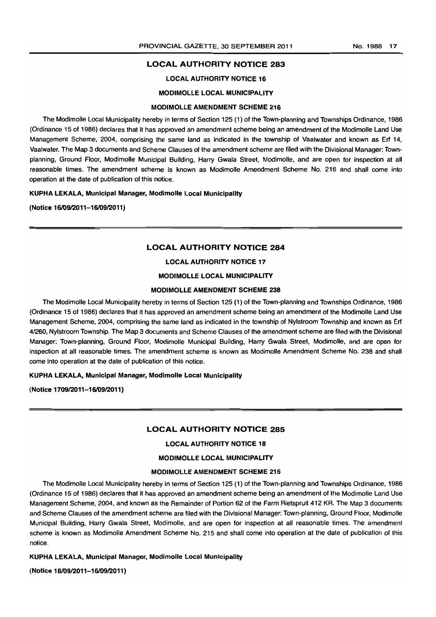#### LOCAL AUTHORITY NOTICE 283

#### LOCAL AUTHORITY NOTICE 16

#### MODIMOLLE LOCAL MUNICIPALITY

#### MODIMOLLE AMENDMENT SCHEME 216

The Modimolle Local Municipality hereby in terms of Section 125 (1) of the Town-planning and Townships Ordinance, 1986 (Ordinance 15 of 1986) declares that it has approved an amendment scheme being an amendment of the Modimolle Land Use Management Scheme, 2004, comprising the same land as indicated in the township of Vaalwater and known as Erf 14, Vaalwater. The Map 3 documents and Scheme Clauses of the amendment scheme are filed with the Divisional Manager: Townplanning, Ground Floor, Modimolle Municipal Building, Harry Gwala Street, Modimolle, and are open for inspection at all reasonable times. The amendment scheme is known as Modimolle Amendment Scheme No. 216 and shall come into operation at the date of publication of this notice.

KUPHA LEKALA, Municipal Manager, Modimolle Local Municipality

(Notice 16/09/2011-16/09/2011)

#### LOCAL AUTHORITY NOTICE 284

#### LOCAL AUTHORITY NOTICE 17

#### MODIMOLLE LOCAL MUNICIPALITY

#### MODIMOLLE AMENDMENT SCHEME 238

The Modimolle Local Municipality hereby in terms of Section 125 (1) of the Town-planning and Townships Ordinance, 1986 (Ordinance 15 of 1986) declares that it has approved an amendment scheme being an amendment of the Modimolle Land Use Management Scheme, 2004, comprising the same land as indicated in the township of Nylstroom Township and known as Erf 4/260, Nylstroom Township. The Map 3 documents and Scheme Clauses of the amendment scheme are filed with the Divisional Manager: Town-planning, Ground Floor, Modimolle Municipal Building, Harry Gwala Street, Modirnolle, and are open for inspection at all reasonable times. The amendment scheme is known as Modimolle Amendment Scheme No. 238 and shall come into operation at the date of publication of this notice.

#### KUPHA LEKALA, Municipal Manager, Modimolle Local Municipality

(Notice 1709/2011-16/09/2011)

#### LOCAL AUTHORITY NOTICE 285

#### LOCAL AUTHORITY NOTICE 18

#### MODIMOLLE LOCAL MUNICIPALITY

#### MODIMOLLE AMENDMENT SCHEME 215

The Modimolle Local Municipality hereby in terms of Section 125 (1) of the Town-planning and Townships Ordinance, 1986 (Ordinance 15 of 1986) declares that it has approved an amendment scheme being an amendment of the Modimolle Land Use Management Scheme, 2004, and known as the Remainder of Portion 62 of the Farm Rietspruit 412 KR. The Map 3 documents and Scheme Clauses of the amendment scheme are filed with the Divisional Manager: Town-planning, Ground Floor, Modimolle Municipal Building, Harry Gwala Street, Modimolle, and are open for inspection at all reasonable times. The amendment scheme is known as Modimolle Amendment Scheme No. 215 and shall come into operation at the date of publication of this notice.

#### KUPHA LEKALA, Municipal Manager, Modimolle Local Municipality

(Notice 18/09/2011-16/09/2011)